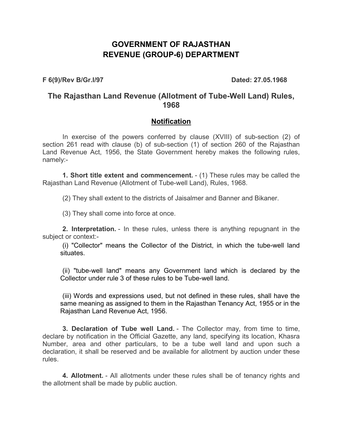## **GOVERNMENT OF RAJASTHAN REVENUE (GROUP-6) DEPARTMENT**

**F 6(9)/Rev B/Gr.I/97 Dated: 27.05.1968** 

## **The Rajasthan Land Revenue (Allotment of Tube-Well Land) Rules, 1968**

## **Notification**

In exercise of the powers conferred by clause (XVIII) of sub-section (2) of section 261 read with clause (b) of sub-section (1) of section 260 of the Rajasthan Land Revenue Act, 1956, the State Government hereby makes the following rules, namely:-

**1. Short title extent and commencement.** - (1) These rules may be called the Rajasthan Land Revenue (Allotment of Tube-well Land), Rules, 1968.

(2) They shall extent to the districts of Jaisalmer and Banner and Bikaner.

(3) They shall come into force at once.

**2. Interpretation.** - In these rules, unless there is anything repugnant in the subject or context:-

(i) "Collector" means the Collector of the District, in which the tube-well land situates.

(ii) "tube-well land" means any Government land which is declared by the Collector under rule 3 of these rules to be Tube-well land.

(iii) Words and expressions used, but not defined in these rules, shall have the same meaning as assigned to them in the Rajasthan Tenancy Act, 1955 or in the Rajasthan Land Revenue Act, 1956.

**3. Declaration of Tube well Land.** - The Collector may, from time to time, declare by notification in the Official Gazette, any land, specifying its location, Khasra Number, area and other particulars, to be a tube well land and upon such a declaration, it shall be reserved and be available for allotment by auction under these rules.

**4. Allotment.** - All allotments under these rules shall be of tenancy rights and the allotment shall be made by public auction.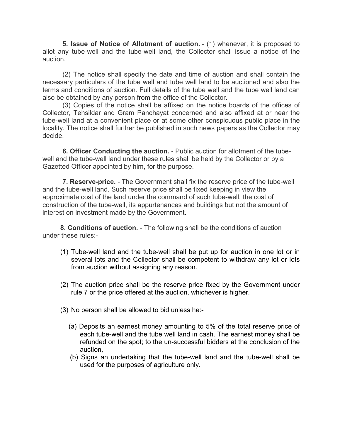**5. Issue of Notice of Allotment of auction.** - (1) whenever, it is proposed to allot any tube-well and the tube-well land, the Collector shall issue a notice of the auction.

(2) The notice shall specify the date and time of auction and shall contain the necessary particulars of the tube well and tube well land to be auctioned and also the terms and conditions of auction. Full details of the tube well and the tube well land can also be obtained by any person from the office of the Collector.

(3) Copies of the notice shall be affixed on the notice boards of the offices of Collector, Tehsildar and Gram Panchayat concerned and also affixed at or near the tube-well land at a convenient place or at some other conspicuous public place in the locality. The notice shall further be published in such news papers as the Collector may decide.

**6. Officer Conducting the auction.** - Public auction for allotment of the tubewell and the tube-well land under these rules shall be held by the Collector or by a Gazetted Officer appointed by him, for the purpose.

**7. Reserve-price.** - The Government shall fix the reserve price of the tube-well and the tube-well land. Such reserve price shall be fixed keeping in view the approximate cost of the land under the command of such tube-well, the cost of construction of the tube-well, its appurtenances and buildings but not the amount of interest on investment made by the Government.

**8. Conditions of auction.** - The following shall be the conditions of auction under these rules:-

- (1) Tube-well land and the tube-well shall be put up for auction in one lot or in several lots and the Collector shall be competent to withdraw any lot or lots from auction without assigning any reason.
- (2) The auction price shall be the reserve price fixed by the Government under rule 7 or the price offered at the auction, whichever is higher.
- (3) No person shall be allowed to bid unless he:-
	- (a) Deposits an earnest money amounting to 5% of the total reserve price of each tube-well and the tube well land in cash. The earnest money shall be refunded on the spot; to the un-successful bidders at the conclusion of the auction,
	- (b) Signs an undertaking that the tube-well land and the tube-well shall be used for the purposes of agriculture only.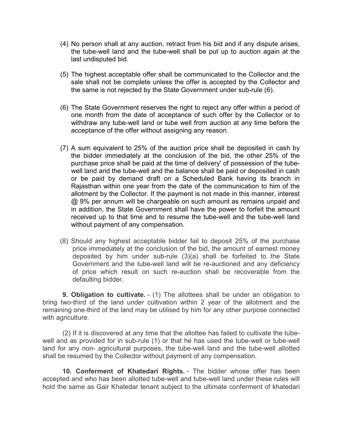- (4) No person shall at any auction, retract from his bid and if any dispute arises, the tube-well land and the tube-well shall be put up to auction again at the last undisputed bid.
- (5) The highest acceptable offer shall be communicated to the Collector and the sale shall not be complete unless the offer is accepted by the Collector and the same is not rejected by the State Government under sub-rule (6).
- (6) The State Government reserves the right to reject any offer within a period of one month from the date of acceptance of such offer by the Collector or to withdraw any tube-well land or tube well from auction at any time before the acceptance of the offer without assigning any reason.
- (7) A sum equivalent to 25% of the auction price shall be deposited in cash by the bidder immediately at the conclusion of the bid, the other 25% of the purchase price shall be paid at the time of delivery' of possession of the tubewell land and the tube-well and the balance shall be paid or deposited in cash or be paid by demand draft on a Scheduled Bank having its branch in Rajasthan within one year from the date of the communication to him of the allotment by the Collector. If the payment is not made in this manner, interest @ 9% per annum will be chargeable on such amount as remains unpaid and in addition, the State Government shall have the power to forfeit the amount received up to that time and to resume the tube-well and the tube-well land without payment of any compensation.
- (8) Should any highest acceptable bidder fail to deposit 25% of the purchase price immediately at the conclusion of the bid, the amount of earnest money deposited by him under sub-rule (3)(a) shall be forfeited to the State Government and the tube-well land will be re-auctioned and any deficiency of price which result on such re-auction shall be recoverable from the defaulting bidder.

**9. Obligation to cultivate.** - (1) The allottees shall be under an obligation to bring two-third of the land under cultivation within 2 year of the allotment and the remaining one-third of the land may be utilised by him for any other purpose connected with agriculture.

(2) If it is discovered at any time that the allottee has failed to cultivate the tubewell and as provided for in sub-rule (1) or that he has used the tube-well or tube-well land for any non- agricultural purposes, the tube-well land and the tube-well allotted shall be resumed by the Collector without payment of any compensation.

**10. Conferment of Khatedari Rights.** - The bidder whose offer has been accepted and who has been allotted tube-well and tube-well land under these rules will hold the same as Gair Khatedar tenant subject to the ultimate conferment of khatedari